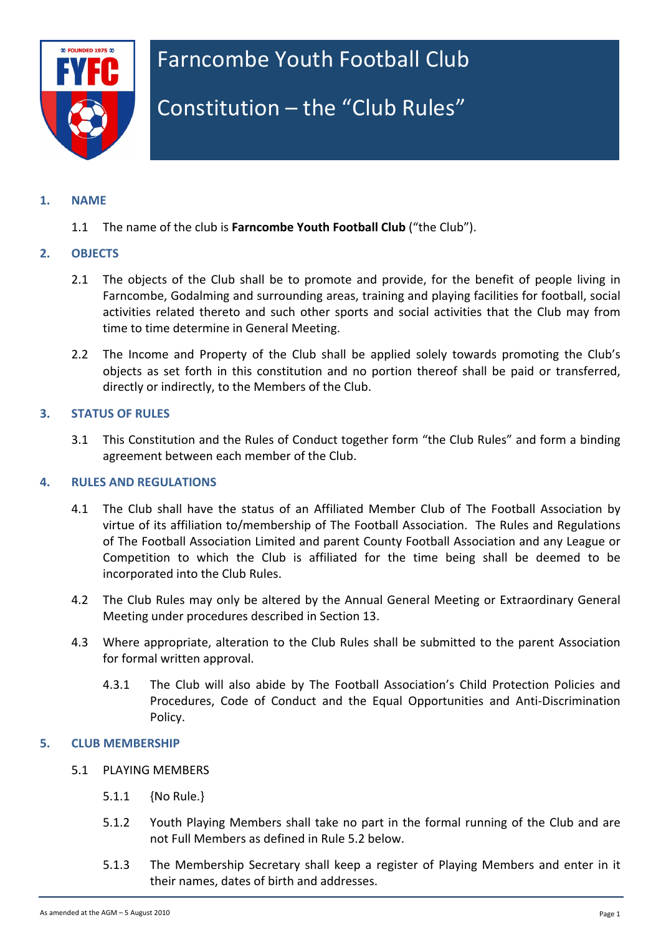

# Farncombe Youth Football Club

# Constitution  $-$  the "Club Rules"

# **1. NAME**

1.1 The name of the club is **Farncombe Youth Football Club** ("the Club").

## **2. OBJECTS**

- 2.1 The objects of the Club shall be to promote and provide, for the benefit of people living in Farncombe, Godalming and surrounding areas, training and playing facilities for football, social activities related thereto and such other sports and social activities that the Club may from time to time determine in General Meeting.
- 2.2 The Income and Property of the Club shall be applied solely towards promoting the Club's objects as set forth in this constitution and no portion thereof shall be paid or transferred, directly or indirectly, to the Members of the Club.

## **3. STATUS OF RULES**

3.1 This Constitution and the Rules of Conduct together form "the Club Rules" and form a binding agreement between each member of the Club.

# **4. RULES AND REGULATIONS**

- 4.1 The Club shall have the status of an Affiliated Member Club of The Football Association by virtue of its affiliation to/membership of The Football Association. The Rules and Regulations of The Football Association Limited and parent County Football Association and any League or Competition to which the Club is affiliated for the time being shall be deemed to be incorporated into the Club Rules.
- 4.2 The Club Rules may only be altered by the Annual General Meeting or Extraordinary General Meeting under procedures described in Section 13.
- 4.3 Where appropriate, alteration to the Club Rules shall be submitted to the parent Association for formal written approval.
	- 4.3.1 The Club will also abide by The Football Association's Child Protection Policies and Procedures, Code of Conduct and the Equal Opportunities and Anti-Discrimination Policy.

#### **5. CLUB MEMBERSHIP**

- 5.1 PLAYING MEMBERS
	- 5.1.1 {No Rule.}
	- 5.1.2 Youth Playing Members shall take no part in the formal running of the Club and are not Full Members as defined in Rule 5.2 below.
	- 5.1.3 The Membership Secretary shall keep a register of Playing Members and enter in it their names, dates of birth and addresses.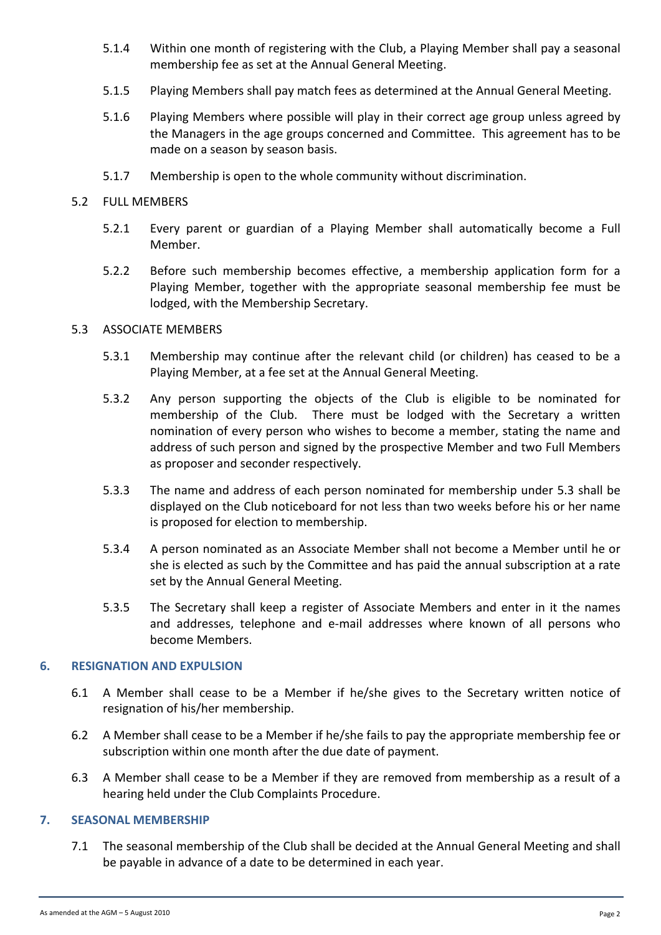- 5.1.4 Within one month of registering with the Club, a Playing Member shall pay a seasonal membership fee as set at the Annual General Meeting.
- 5.1.5 Playing Members shall pay match fees as determined at the Annual General Meeting.
- 5.1.6 Playing Members where possible will play in their correct age group unless agreed by the Managers in the age groups concerned and Committee. This agreement has to be made on a season by season basis.
- 5.1.7 Membership is open to the whole community without discrimination.

# 5.2 FULL MEMBERS

- 5.2.1 Every parent or guardian of a Playing Member shall automatically become a Full Member.
- 5.2.2 Before such membership becomes effective, a membership application form for a Playing Member, together with the appropriate seasonal membership fee must be lodged, with the Membership Secretary.

# 5.3 ASSOCIATE MEMBERS

- 5.3.1 Membership may continue after the relevant child (or children) has ceased to be a Playing Member, at a fee set at the Annual General Meeting.
- 5.3.2 Any person supporting the objects of the Club is eligible to be nominated for membership of the Club. There must be lodged with the Secretary a written nomination of every person who wishes to become a member, stating the name and address of such person and signed by the prospective Member and two Full Members as proposer and seconder respectively.
- 5.3.3 The name and address of each person nominated for membership under 5.3 shall be displayed on the Club noticeboard for not less than two weeks before his or her name is proposed for election to membership.
- 5.3.4 A person nominated as an Associate Member shall not become a Member until he or she is elected as such by the Committee and has paid the annual subscription at a rate set by the Annual General Meeting.
- 5.3.5 The Secretary shall keep a register of Associate Members and enter in it the names and addresses, telephone and e-mail addresses where known of all persons who become Members.

# **6. RESIGNATION AND EXPULSION**

- 6.1 A Member shall cease to be a Member if he/she gives to the Secretary written notice of resignation of his/her membership.
- 6.2 A Member shall cease to be a Member if he/she fails to pay the appropriate membership fee or subscription within one month after the due date of payment.
- 6.3 A Member shall cease to be a Member if they are removed from membership as a result of a hearing held under the Club Complaints Procedure.

# **7. SEASONAL MEMBERSHIP**

7.1 The seasonal membership of the Club shall be decided at the Annual General Meeting and shall be payable in advance of a date to be determined in each year.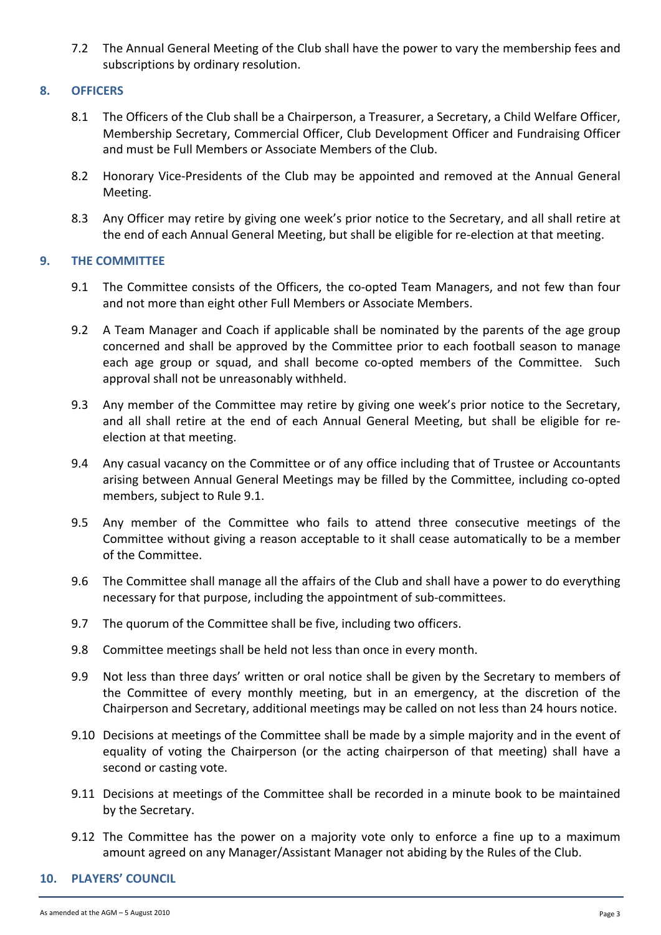7.2 The Annual General Meeting of the Club shall have the power to vary the membership fees and subscriptions by ordinary resolution.

# **8. OFFICERS**

- 8.1 The Officers of the Club shall be a Chairperson, a Treasurer, a Secretary, a Child Welfare Officer, Membership Secretary, Commercial Officer, Club Development Officer and Fundraising Officer and must be Full Members or Associate Members of the Club.
- 8.2 Honorary Vice-Presidents of the Club may be appointed and removed at the Annual General Meeting.
- 8.3 Any Officer may retire by giving one week's prior notice to the Secretary, and all shall retire at the end of each Annual General Meeting, but shall be eligible for re-election at that meeting.

# **9.** THE COMMITTEE

- 9.1 The Committee consists of the Officers, the co-opted Team Managers, and not few than four and not more than eight other Full Members or Associate Members.
- 9.2 A Team Manager and Coach if applicable shall be nominated by the parents of the age group concerned and shall be approved by the Committee prior to each football season to manage each age group or squad, and shall become co-opted members of the Committee. Such approval shall not be unreasonably withheld.
- 9.3 Any member of the Committee may retire by giving one week's prior notice to the Secretary, and all shall retire at the end of each Annual General Meeting, but shall be eligible for reelection at that meeting.
- 9.4 Any casual vacancy on the Committee or of any office including that of Trustee or Accountants arising between Annual General Meetings may be filled by the Committee, including co-opted members, subject to Rule 9.1.
- 9.5 Any member of the Committee who fails to attend three consecutive meetings of the Committee without giving a reason acceptable to it shall cease automatically to be a member of the Committee.
- 9.6 The Committee shall manage all the affairs of the Club and shall have a power to do everything necessary for that purpose, including the appointment of sub-committees.
- 9.7 The quorum of the Committee shall be five, including two officers.
- 9.8 Committee meetings shall be held not less than once in every month.
- 9.9 Not less than three days' written or oral notice shall be given by the Secretary to members of the Committee of every monthly meeting, but in an emergency, at the discretion of the Chairperson and Secretary, additional meetings may be called on not less than 24 hours notice.
- 9.10 Decisions at meetings of the Committee shall be made by a simple majority and in the event of equality of voting the Chairperson (or the acting chairperson of that meeting) shall have a second or casting vote.
- 9.11 Decisions at meetings of the Committee shall be recorded in a minute book to be maintained by the Secretary.
- 9.12 The Committee has the power on a majority vote only to enforce a fine up to a maximum amount agreed on any Manager/Assistant Manager not abiding by the Rules of the Club.

# **10. PLAYERS' COUNCIL**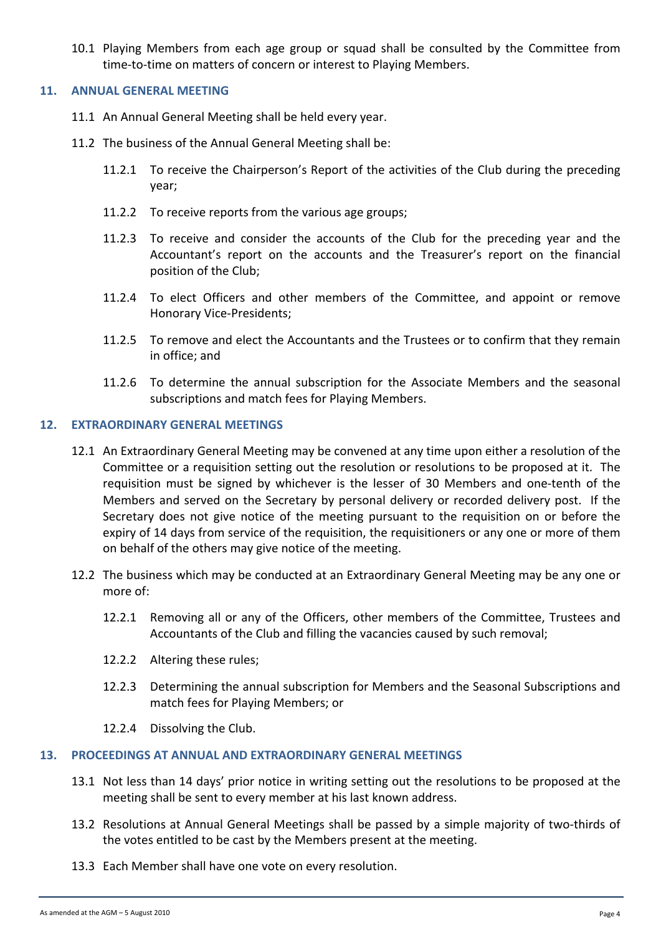10.1 Playing Members from each age group or squad shall be consulted by the Committee from time-to-time on matters of concern or interest to Playing Members.

## **11. ANNUAL GENERAL MEETING**

- 11.1 An Annual General Meeting shall be held every year.
- 11.2 The business of the Annual General Meeting shall be:
	- 11.2.1 To receive the Chairperson's Report of the activities of the Club during the preceding year;
	- 11.2.2 To receive reports from the various age groups;
	- 11.2.3 To receive and consider the accounts of the Club for the preceding year and the Accountant's report on the accounts and the Treasurer's report on the financial position of the Club:
	- 11.2.4 To elect Officers and other members of the Committee, and appoint or remove Honorary Vice-Presidents;
	- 11.2.5 To remove and elect the Accountants and the Trustees or to confirm that they remain in office; and
	- 11.2.6 To determine the annual subscription for the Associate Members and the seasonal subscriptions and match fees for Playing Members.

## **12. EXTRAORDINARY GENERAL MEETINGS**

- 12.1 An Extraordinary General Meeting may be convened at any time upon either a resolution of the Committee or a requisition setting out the resolution or resolutions to be proposed at it. The requisition must be signed by whichever is the lesser of 30 Members and one-tenth of the Members and served on the Secretary by personal delivery or recorded delivery post. If the Secretary does not give notice of the meeting pursuant to the requisition on or before the expiry of 14 days from service of the requisition, the requisitioners or any one or more of them on behalf of the others may give notice of the meeting.
- 12.2 The business which may be conducted at an Extraordinary General Meeting may be any one or more of:
	- 12.2.1 Removing all or any of the Officers, other members of the Committee, Trustees and Accountants of the Club and filling the vacancies caused by such removal;
	- 12.2.2 Altering these rules;
	- 12.2.3 Determining the annual subscription for Members and the Seasonal Subscriptions and match fees for Playing Members; or
	- 12.2.4 Dissolving the Club.

#### **13. PROCEEDINGS AT ANNUAL AND EXTRAORDINARY GENERAL MEETINGS**

- 13.1 Not less than 14 days' prior notice in writing setting out the resolutions to be proposed at the meeting shall be sent to every member at his last known address.
- 13.2 Resolutions at Annual General Meetings shall be passed by a simple majority of two-thirds of the votes entitled to be cast by the Members present at the meeting.
- 13.3 Each Member shall have one vote on every resolution.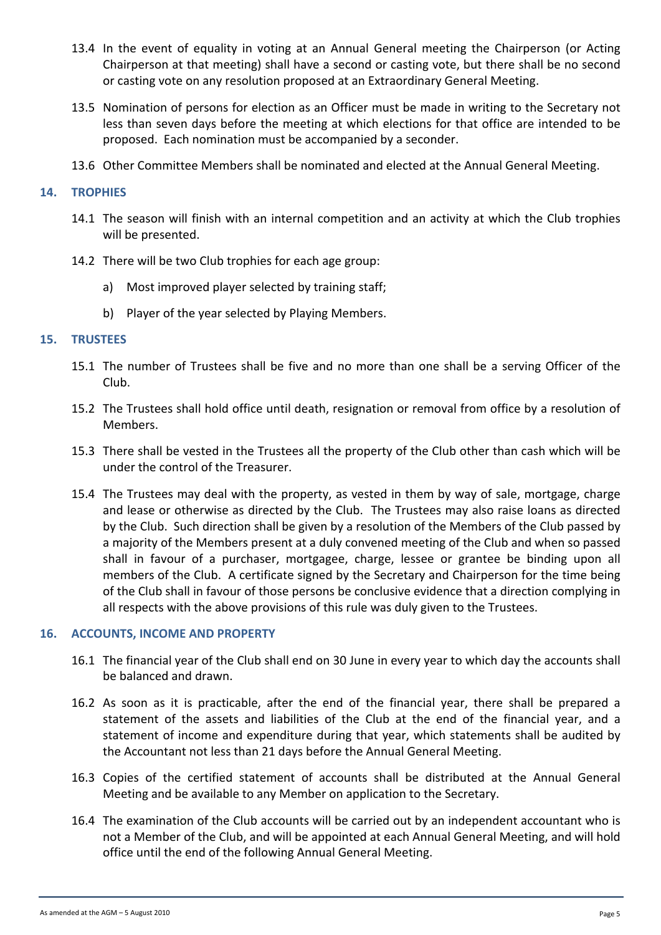- 13.4 In the event of equality in voting at an Annual General meeting the Chairperson (or Acting Chairperson at that meeting) shall have a second or casting vote, but there shall be no second or casting vote on any resolution proposed at an Extraordinary General Meeting.
- 13.5 Nomination of persons for election as an Officer must be made in writing to the Secretary not less than seven days before the meeting at which elections for that office are intended to be proposed. Each nomination must be accompanied by a seconder.
- 13.6 Other Committee Members shall be nominated and elected at the Annual General Meeting.

## **14. TROPHIES**

- 14.1 The season will finish with an internal competition and an activity at which the Club trophies will be presented.
- 14.2 There will be two Club trophies for each age group:
	- a) Most improved player selected by training staff;
	- b) Player of the year selected by Playing Members.

## **15. TRUSTEES**

- 15.1 The number of Trustees shall be five and no more than one shall be a serving Officer of the Club.
- 15.2 The Trustees shall hold office until death, resignation or removal from office by a resolution of Members.
- 15.3 There shall be vested in the Trustees all the property of the Club other than cash which will be under the control of the Treasurer.
- 15.4 The Trustees may deal with the property, as vested in them by way of sale, mortgage, charge and lease or otherwise as directed by the Club. The Trustees may also raise loans as directed by the Club. Such direction shall be given by a resolution of the Members of the Club passed by a majority of the Members present at a duly convened meeting of the Club and when so passed shall in favour of a purchaser, mortgagee, charge, lessee or grantee be binding upon all members of the Club. A certificate signed by the Secretary and Chairperson for the time being of the Club shall in favour of those persons be conclusive evidence that a direction complying in all respects with the above provisions of this rule was duly given to the Trustees.

# **16. ACCOUNTS, INCOME AND PROPERTY**

- 16.1 The financial year of the Club shall end on 30 June in every year to which day the accounts shall be balanced and drawn.
- 16.2 As soon as it is practicable, after the end of the financial year, there shall be prepared a statement of the assets and liabilities of the Club at the end of the financial year, and a statement of income and expenditure during that year, which statements shall be audited by the Accountant not less than 21 days before the Annual General Meeting.
- 16.3 Copies of the certified statement of accounts shall be distributed at the Annual General Meeting and be available to any Member on application to the Secretary.
- 16.4 The examination of the Club accounts will be carried out by an independent accountant who is not a Member of the Club, and will be appointed at each Annual General Meeting, and will hold office until the end of the following Annual General Meeting.